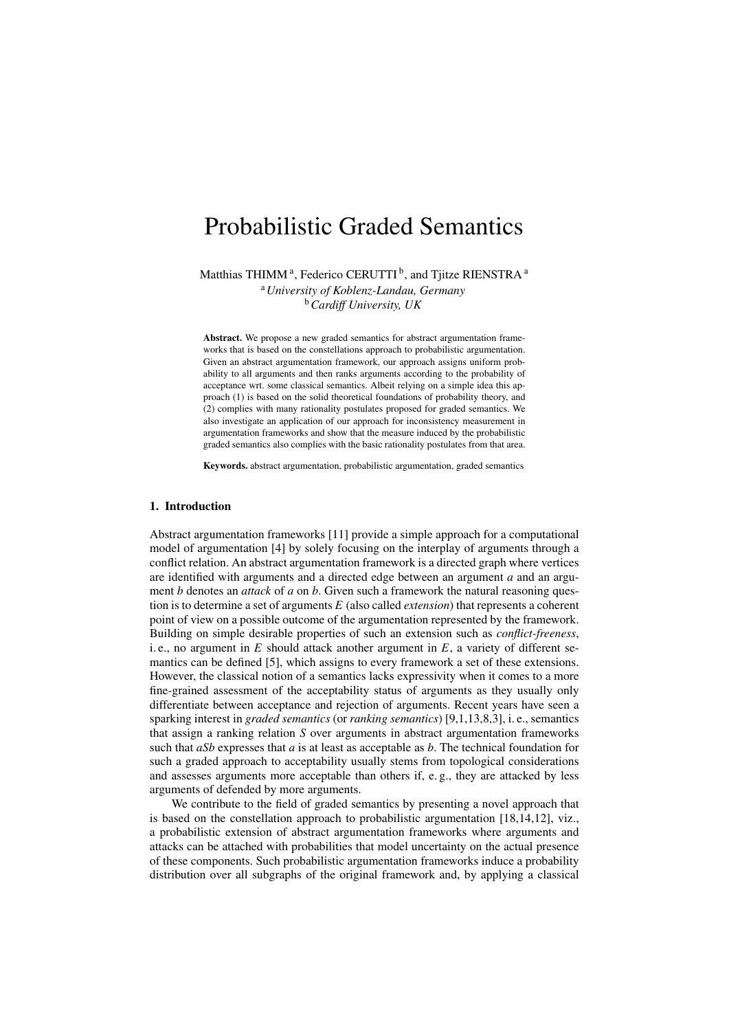# Probabilistic Graded Semantics

Matthias THIMM<sup>a</sup>, Federico CERUTTI  $^{\rm b}$ , and Tjitze RIENSTRA  $^{\rm a}$ 

<sup>a</sup>*University of Koblenz-Landau, Germany* <sup>b</sup>*Cardiff University, UK*

Abstract. We propose a new graded semantics for abstract argumentation frameworks that is based on the constellations approach to probabilistic argumentation. Given an abstract argumentation framework, our approach assigns uniform probability to all arguments and then ranks arguments according to the probability of acceptance wrt. some classical semantics. Albeit relying on a simple idea this approach (1) is based on the solid theoretical foundations of probability theory, and (2) complies with many rationality postulates proposed for graded semantics. We also investigate an application of our approach for inconsistency measurement in argumentation frameworks and show that the measure induced by the probabilistic graded semantics also complies with the basic rationality postulates from that area.

Keywords. abstract argumentation, probabilistic argumentation, graded semantics

# 1. Introduction

Abstract argumentation frameworks [11] provide a simple approach for a computational model of argumentation [4] by solely focusing on the interplay of arguments through a conflict relation. An abstract argumentation framework is a directed graph where vertices are identified with arguments and a directed edge between an argument *a* and an argument *b* denotes an *attack* of *a* on *b*. Given such a framework the natural reasoning question is to determine a set of arguments *E* (also called *extension*) that represents a coherent point of view on a possible outcome of the argumentation represented by the framework. Building on simple desirable properties of such an extension such as *conflict-freeness*, i. e., no argument in  $E$  should attack another argument in  $E$ , a variety of different semantics can be defined [5], which assigns to every framework a set of these extensions. However, the classical notion of a semantics lacks expressivity when it comes to a more fine-grained assessment of the acceptability status of arguments as they usually only differentiate between acceptance and rejection of arguments. Recent years have seen a sparking interest in *graded semantics* (or *ranking semantics*) [9,1,13,8,3], i. e., semantics that assign a ranking relation *S* over arguments in abstract argumentation frameworks such that *aSb* expresses that *a* is at least as acceptable as *b*. The technical foundation for such a graded approach to acceptability usually stems from topological considerations and assesses arguments more acceptable than others if, e. g., they are attacked by less arguments of defended by more arguments.

We contribute to the field of graded semantics by presenting a novel approach that is based on the constellation approach to probabilistic argumentation [18,14,12], viz., a probabilistic extension of abstract argumentation frameworks where arguments and attacks can be attached with probabilities that model uncertainty on the actual presence of these components. Such probabilistic argumentation frameworks induce a probability distribution over all subgraphs of the original framework and, by applying a classical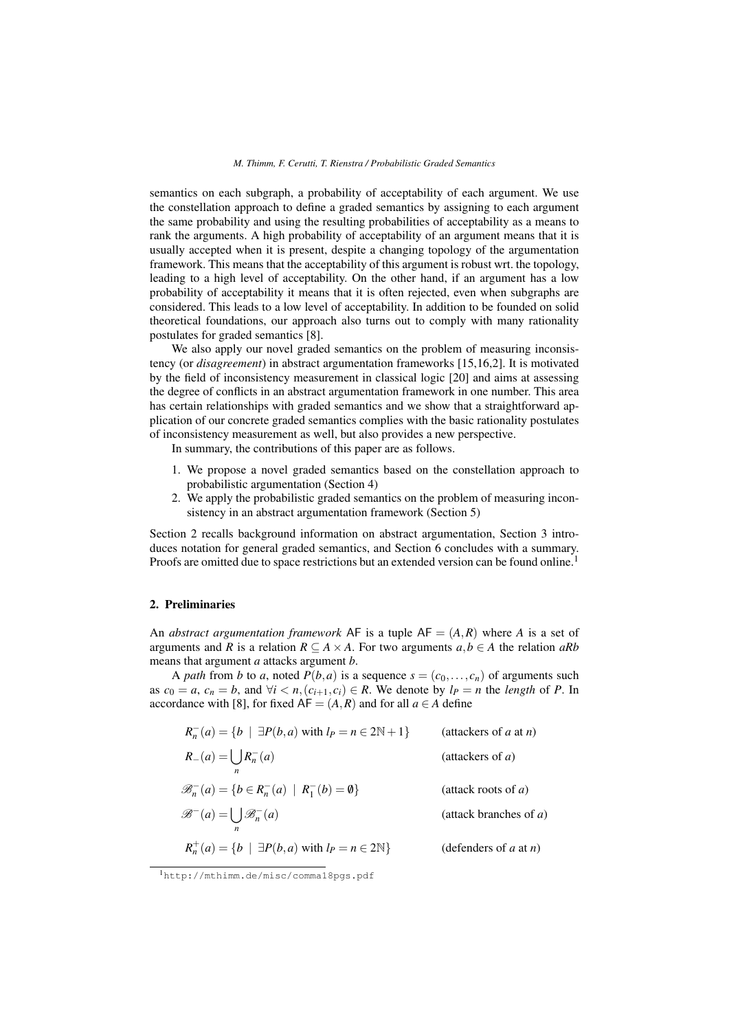semantics on each subgraph, a probability of acceptability of each argument. We use the constellation approach to define a graded semantics by assigning to each argument the same probability and using the resulting probabilities of acceptability as a means to rank the arguments. A high probability of acceptability of an argument means that it is usually accepted when it is present, despite a changing topology of the argumentation framework. This means that the acceptability of this argument is robust wrt. the topology, leading to a high level of acceptability. On the other hand, if an argument has a low probability of acceptability it means that it is often rejected, even when subgraphs are considered. This leads to a low level of acceptability. In addition to be founded on solid theoretical foundations, our approach also turns out to comply with many rationality postulates for graded semantics [8].

We also apply our novel graded semantics on the problem of measuring inconsistency (or *disagreement*) in abstract argumentation frameworks [15,16,2]. It is motivated by the field of inconsistency measurement in classical logic [20] and aims at assessing the degree of conflicts in an abstract argumentation framework in one number. This area has certain relationships with graded semantics and we show that a straightforward application of our concrete graded semantics complies with the basic rationality postulates of inconsistency measurement as well, but also provides a new perspective.

In summary, the contributions of this paper are as follows.

- 1. We propose a novel graded semantics based on the constellation approach to probabilistic argumentation (Section 4)
- 2. We apply the probabilistic graded semantics on the problem of measuring inconsistency in an abstract argumentation framework (Section 5)

Section 2 recalls background information on abstract argumentation, Section 3 introduces notation for general graded semantics, and Section 6 concludes with a summary. Proofs are omitted due to space restrictions but an extended version can be found online.<sup>1</sup>

# 2. Preliminaries

An *abstract argumentation framework* AF is a tuple  $AF = (A, R)$  where A is a set of arguments and *R* is a relation  $R \subseteq A \times A$ . For two arguments  $a, b \in A$  the relation  $aRb$ means that argument *a* attacks argument *b*.

A *path* from *b* to *a*, noted  $P(b, a)$  is a sequence  $s = (c_0, \ldots, c_n)$  of arguments such as  $c_0 = a$ ,  $c_n = b$ , and  $\forall i < n, (c_{i+1}, c_i) \in R$ . We denote by  $l_P = n$  the *length* of *P*. In accordance with [8], for fixed  $AF = (A, R)$  and for all  $a \in A$  define

| $R_n^-(a) = \{b \mid \exists P(b,a) \text{ with } l_P = n \in 2\mathbb{N} + 1\}$ | (attackers of $a$ at $n$ ) |
|----------------------------------------------------------------------------------|----------------------------|
| $R_{-}(a) = \bigcup R_{n}^{-}(a)$<br>$\boldsymbol{n}$                            | (attackers of $a$ )        |
| $\mathscr{B}_n^-(a) = \{b \in R_n^-(a) \mid R_1^-(b) = \emptyset\}$              | (attack roots of $a$ )     |
| $\mathscr{B}^{-}(a) = \bigcup \mathscr{B}_{n}^{-}(a)$                            | (attack branches of $a$ )  |
| $R_n^+(a) = \{b \mid \exists P(b,a) \text{ with } l_P = n \in 2\mathbb{N}\}\$    | (defenders of $a$ at $n$ ) |

<sup>1</sup>http://mthimm.de/misc/comma18pgs.pdf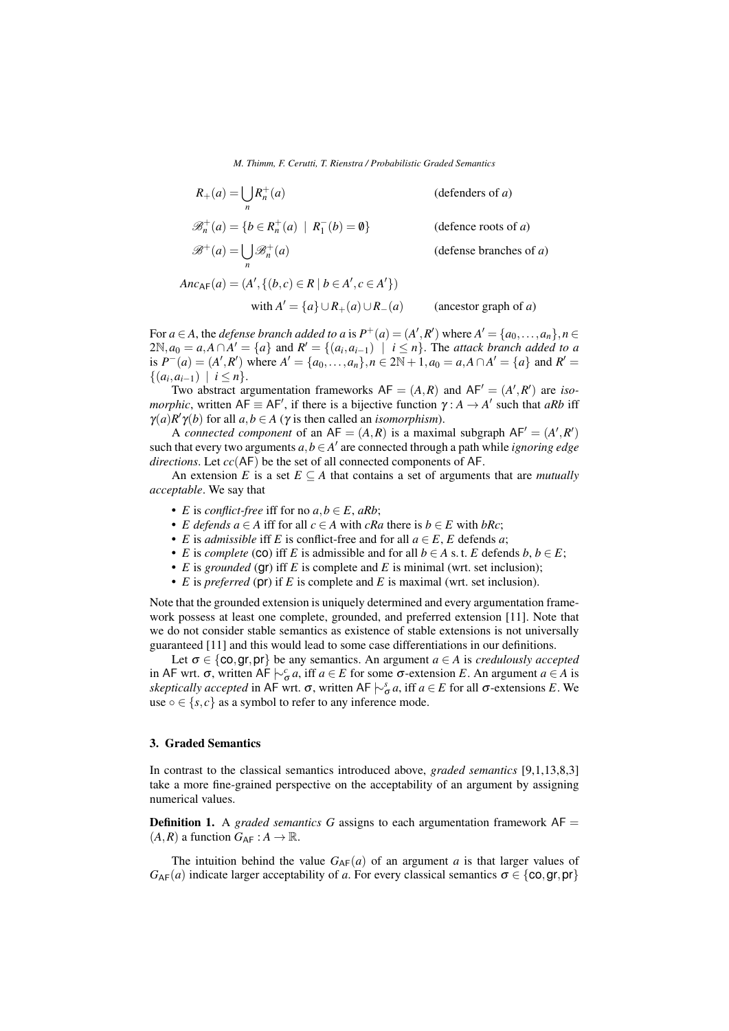$R_+(a) = \bigcup$ *n*  $R_n^+$ (*a*) (defenders of *a*)  $\mathscr{B}_n^+(a) = \{b \in R_n^+(a) \mid R_1^-$ (*defence roots of*  $a$ )  $\mathscr{B}^+(a) = \bigcup$ *n*  $\mathscr{B}^+_n$ (*a*) (defense branches of *a*)

 $\n \ \, \text{Area}_{\mathsf{F}}(a) = (A', \{(b, c) \in \mathsf{R} \mid b \in A', c \in A'\})$ 

with  $A' = \{a\} \cup R_+(a) \cup R_-(a)$  (ancestor graph of *a*)

For  $a \in A$ , the *defense branch added to a* is  $P^+(a) = (A', R')$  where  $A' = \{a_0, \ldots, a_n\}, n \in A$  $2\mathbb{N}, a_0 = a, A \cap A' = \{a\}$  and  $R' = \{(a_i, a_{i-1}) \mid i \le n\}$ . The *attack branch added to a* is  $P^{-}(a) = (A', R')$  where  $A' = \{a_0, ..., a_n\}$ ,  $n \in 2\mathbb{N} + 1$ ,  $a_0 = a, A \cap A' = \{a\}$  and  $R' =$  $\{(a_i, a_{i-1}) \mid i \leq n\}.$ 

Two abstract argumentation frameworks  $AF = (A, R)$  and  $AF' = (A', R')$  are *isomorphic*, written  $AF \equiv AF'$ , if there is a bijective function  $\gamma : A \rightarrow A'$  such that *aRb* iff  $\gamma(a)R'\gamma(b)$  for all  $a,b \in A$  ( $\gamma$  is then called an *isomorphism*).

A *connected component* of an  $AF = (A, R)$  is a maximal subgraph  $AF' = (A', R')$ such that every two arguments  $a, b \in A'$  are connected through a path while *ignoring edge directions*. Let *cc*(AF) be the set of all connected components of AF.

An extension *E* is a set  $E \subseteq A$  that contains a set of arguments that are *mutually acceptable*. We say that

- *E* is *conflict-free* iff for no  $a, b \in E$ ,  $aRb$ ;
- *E defends a*  $\in$  *A* iff for all *c*  $\in$  *A* with *cRa* there is *b*  $\in$  *E* with *bRc*;
- *E* is *admissible* iff *E* is conflict-free and for all  $a \in E$ , *E* defends *a*;
- *E* is *complete* (co) iff *E* is admissible and for all  $b \in A$  s. t. *E* defends  $b, b \in E$ ;
- *E* is *grounded* (gr) iff *E* is complete and *E* is minimal (wrt. set inclusion);
- *E* is *preferred* (pr) if *E* is complete and *E* is maximal (wrt. set inclusion).

Note that the grounded extension is uniquely determined and every argumentation framework possess at least one complete, grounded, and preferred extension [11]. Note that we do not consider stable semantics as existence of stable extensions is not universally guaranteed [11] and this would lead to some case differentiations in our definitions.

Let  $\sigma \in \{\text{co}, \text{gr}, \text{pr}\}\$  be any semantics. An argument  $a \in A$  is *credulously accepted* in AF wrt.  $\sigma$ , written AF  $\downarrow$ <sup>*c*</sup><sub> $\sigma$ </sub> *a*, iff *a* ∈ *E* for some  $\sigma$ -extension *E*. An argument *a* ∈ *A* is *skeptically accepted* in AF wrt.  $\sigma$ , written AF  $\vert \sim_{\sigma}^s a$ , iff *a* ∈ *E* for all  $\sigma$ -extensions *E*. We use  $\circ \in \{s, c\}$  as a symbol to refer to any inference mode.

# 3. Graded Semantics

In contrast to the classical semantics introduced above, *graded semantics* [9,1,13,8,3] take a more fine-grained perspective on the acceptability of an argument by assigning numerical values.

Definition 1. A *graded semantics G* assigns to each argumentation framework AF =  $(A, R)$  a function  $G_{AF}: A \rightarrow \mathbb{R}$ .

The intuition behind the value  $G_{AF}(a)$  of an argument *a* is that larger values of  $G_{AF}(a)$  indicate larger acceptability of *a*. For every classical semantics  $\sigma \in \{\text{co}, \text{gr}, \text{pr}\}\$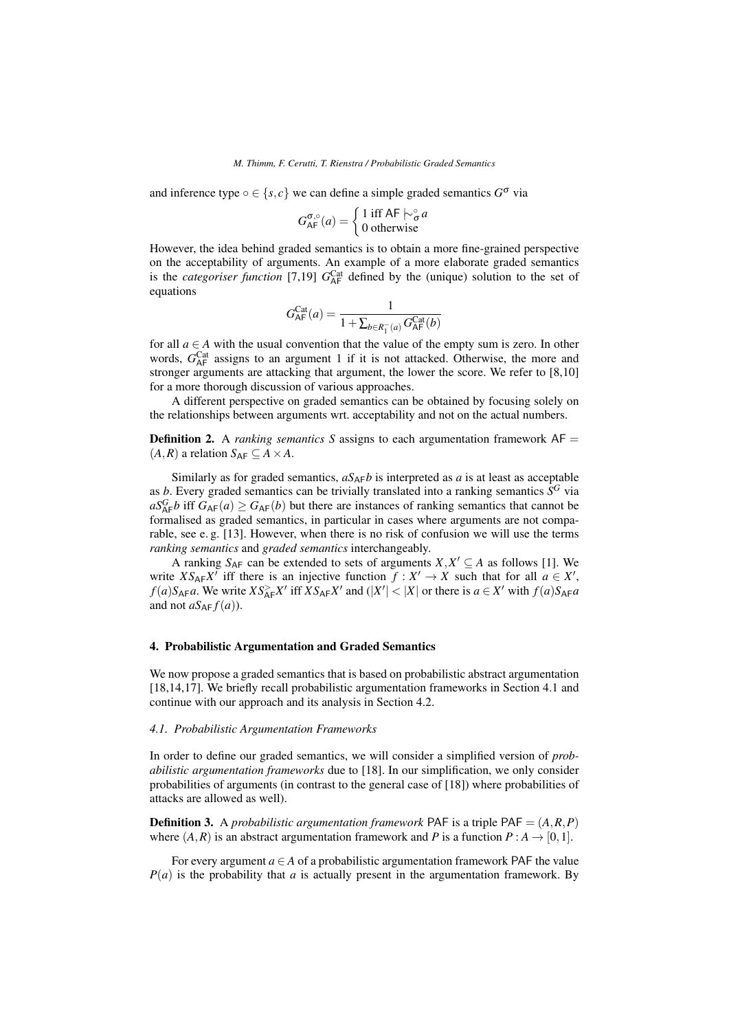and inference type  $\circ \in \{s, c\}$  we can define a simple graded semantics  $G^{\sigma}$  via

$$
G_{\mathsf{AF}}^{\sigma,\circ}(a) = \begin{cases} 1 \text{ iff } \mathsf{AF} \hspace{0.2em}\sim_{\sigma}^{\circ} a \\ 0 \text{ otherwise} \end{cases}
$$

However, the idea behind graded semantics is to obtain a more fine-grained perspective on the acceptability of arguments. An example of a more elaborate graded semantics is the *categoriser function* [7,19]  $G_{\text{AF}}^{\text{Cat}}$  defined by the (unique) solution to the set of equations

$$
G_{\mathsf{AF}}^{\mathsf{Cat}}(a) = \frac{1}{1 + \sum_{b \in R_{1}^{-}(a)} G_{\mathsf{AF}}^{\mathsf{Cat}}(b)}
$$

for all  $a \in A$  with the usual convention that the value of the empty sum is zero. In other words,  $G_{AF}^{Cat}$  assigns to an argument 1 if it is not attacked. Otherwise, the more and stronger arguments are attacking that argument, the lower the score. We refer to [8,10] for a more thorough discussion of various approaches.

A different perspective on graded semantics can be obtained by focusing solely on the relationships between arguments wrt. acceptability and not on the actual numbers.

**Definition 2.** A *ranking semantics S* assigns to each argumentation framework  $AF =$  $(A, R)$  a relation  $S_{AF} \subseteq A \times A$ .

Similarly as for graded semantics,  $aS_{\Delta F}b$  is interpreted as *a* is at least as acceptable as *b*. Every graded semantics can be trivially translated into a ranking semantics  $\overline{S}^G$  via  $aS_{AF}^Gb$  iff  $G_{AF}(a) \geq G_{AF}(b)$  but there are instances of ranking semantics that cannot be formalised as graded semantics, in particular in cases where arguments are not comparable, see e. g. [13]. However, when there is no risk of confusion we will use the terms *ranking semantics* and *graded semantics* interchangeably.

A ranking  $S_{AF}$  can be extended to sets of arguments  $X, X' \subseteq A$  as follows [1]. We write  $XS_{AF}X'$  iff there is an injective function  $f : X' \to X$  such that for all  $a \in X'$ ,  $f(a)S_{AF}a$ . We write  $XS_{AF}^>X'$  iff  $XS_{AF}X'$  and  $(|X'| < |X|$  or there is  $a \in X'$  with  $f(a)S_{AF}a$ and not  $aS_{AF}f(a)$ ).

# 4. Probabilistic Argumentation and Graded Semantics

We now propose a graded semantics that is based on probabilistic abstract argumentation [18,14,17]. We briefly recall probabilistic argumentation frameworks in Section 4.1 and continue with our approach and its analysis in Section 4.2.

## *4.1. Probabilistic Argumentation Frameworks*

In order to define our graded semantics, we will consider a simplified version of *probabilistic argumentation frameworks* due to [18]. In our simplification, we only consider probabilities of arguments (in contrast to the general case of [18]) where probabilities of attacks are allowed as well).

**Definition 3.** A *probabilistic argumentation framework* PAF is a triple PAF =  $(A, R, P)$ where  $(A, R)$  is an abstract argumentation framework and P is a function  $P : A \rightarrow [0, 1]$ .

For every argument  $a \in A$  of a probabilistic argumentation framework PAF the value *P*(*a*) is the probability that *a* is actually present in the argumentation framework. By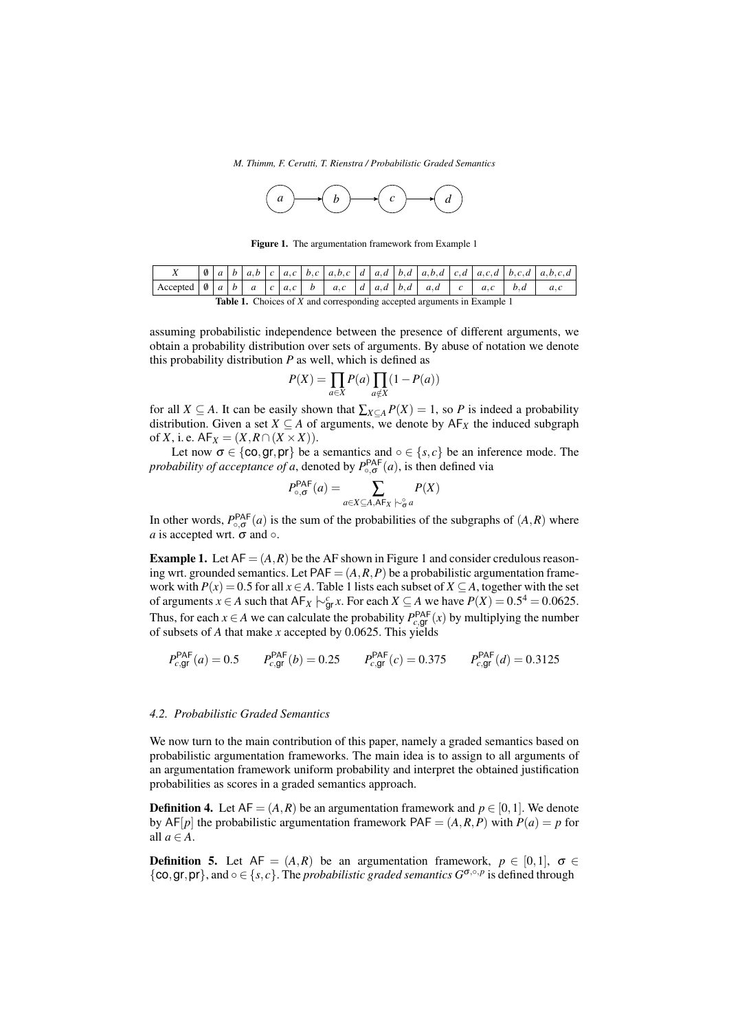*M. Thimm, F. Cerutti, T. Rienstra / Probabilistic Graded Semantics*



Figure 1. The argumentation framework from Example 1

| $\left  \text{Accepted} \left  \emptyset \right  a \left  b \right  a \left  c \right  a,c \left  b \right  a,c \left  d \right  a,d \left  b,d \right  a,d \left  c \right  a,c \left  b,d \right  a,c$ |  |  |  |  |  |  |  |  |  |  |  |  |
|----------------------------------------------------------------------------------------------------------------------------------------------------------------------------------------------------------|--|--|--|--|--|--|--|--|--|--|--|--|
|                                                                                                                                                                                                          |  |  |  |  |  |  |  |  |  |  |  |  |

Table 1. Choices of *X* and corresponding accepted arguments in Example 1

assuming probabilistic independence between the presence of different arguments, we obtain a probability distribution over sets of arguments. By abuse of notation we denote this probability distribution *P* as well, which is defined as

$$
P(X) = \prod_{a \in X} P(a) \prod_{a \notin X} (1 - P(a))
$$

for all *X*  $\subseteq$  *A*. It can be easily shown that  $\sum_{X \subseteq A} P(X) = 1$ , so *P* is indeed a probability distribution. Given a set *X*  $\subseteq$  *A* of arguments, we denote by  $AF$ <sub>*X*</sub> the induced subgraph of *X*, i.e.  $AF_X = (X, R \cap (X \times X)).$ 

Let now  $\sigma \in \{\cos, \text{gr}, \text{pr}\}\$  be a semantics and ∘  $\in \{s, c\}$  be an inference mode. The *probability of acceptance of a*, denoted by  $P_{\circ, \sigma}^{\mathsf{PAF}}(a)$ , is then defined via

$$
P_{\circ, \sigma}^{\mathsf{PAF}}(a) = \sum_{a \in X \subseteq A, \mathsf{AF}_X} P(X)
$$

In other words,  $P_{\circ, \sigma}^{\text{PAF}}(a)$  is the sum of the probabilities of the subgraphs of  $(A, R)$  where *a* is accepted wrt.  $\sigma$  and  $\circ$ .

**Example 1.** Let  $AF = (A, R)$  be the AF shown in Figure 1 and consider credulous reasoning wrt. grounded semantics. Let  $PAF = (A, R, P)$  be a probabilistic argumentation framework with  $P(x) = 0.5$  for all  $x \in A$ . Table 1 lists each subset of  $X \subseteq A$ , together with the set of arguments *x* ∈ *A* such that  $AF_X \nvert^c_{\text{gr}} x$ . For each *X* ⊆ *A* we have  $P(X) = 0.5^4 = 0.0625$ . Thus, for each  $x \in A$  we can calculate the probability  $P_{c,gt}^{PAF}(x)$  by multiplying the number of subsets of *A* that make *x* accepted by 0.0625. This yields

$$
P_{c,gr}^{\text{PAF}}(a) = 0.5 \qquad P_{c,gr}^{\text{PAF}}(b) = 0.25 \qquad P_{c,gr}^{\text{PAF}}(c) = 0.375 \qquad P_{c,gr}^{\text{PAF}}(d) = 0.3125
$$

## *4.2. Probabilistic Graded Semantics*

We now turn to the main contribution of this paper, namely a graded semantics based on probabilistic argumentation frameworks. The main idea is to assign to all arguments of an argumentation framework uniform probability and interpret the obtained justification probabilities as scores in a graded semantics approach.

**Definition 4.** Let  $AF = (A, R)$  be an argumentation framework and  $p \in [0, 1]$ . We denote by  $AF[p]$  the probabilistic argumentation framework  $PAF = (A, R, P)$  with  $P(a) = p$  for all  $a \in A$ .

**Definition 5.** Let  $AF = (A, R)$  be an argumentation framework,  $p \in [0, 1]$ ,  $\sigma \in$ {co, gr, pr}, and  $\circ \in \{s, c\}$ . The *probabilistic graded semantics*  $G^{\sigma, \circ, p}$  is defined through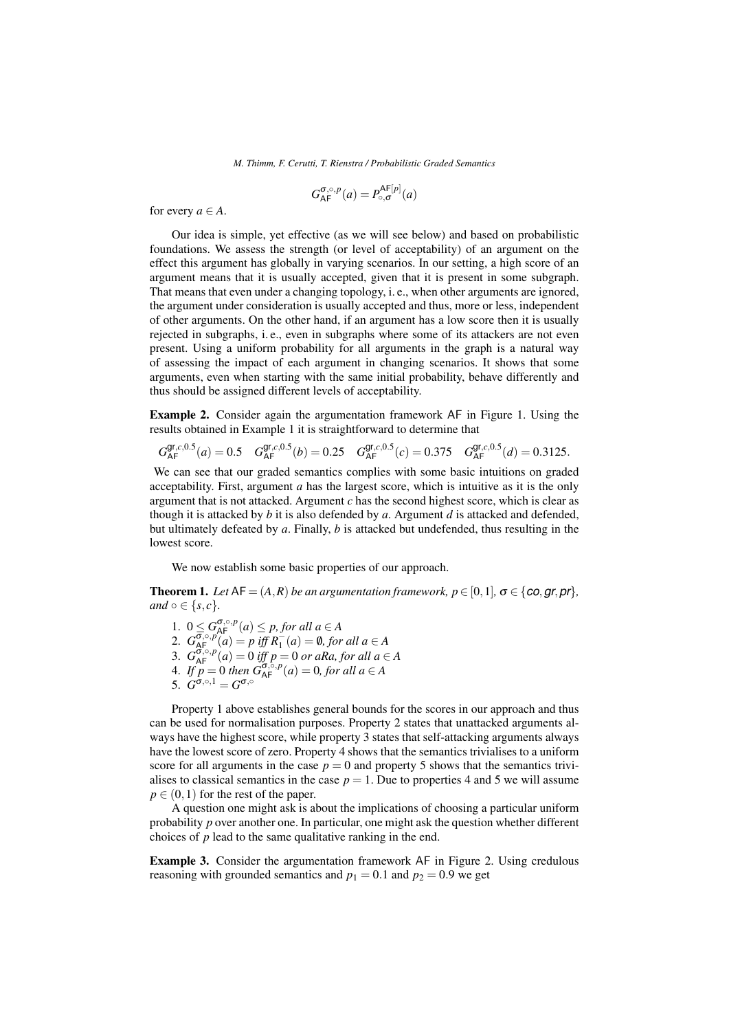$$
G_{\mathsf{AF}}^{\sigma,\circ,p}(a) = P_{\circ,\sigma}^{\mathsf{AF}[p]}(a)
$$

for every  $a \in A$ .

Our idea is simple, yet effective (as we will see below) and based on probabilistic foundations. We assess the strength (or level of acceptability) of an argument on the effect this argument has globally in varying scenarios. In our setting, a high score of an argument means that it is usually accepted, given that it is present in some subgraph. That means that even under a changing topology, i. e., when other arguments are ignored, the argument under consideration is usually accepted and thus, more or less, independent of other arguments. On the other hand, if an argument has a low score then it is usually rejected in subgraphs, i. e., even in subgraphs where some of its attackers are not even present. Using a uniform probability for all arguments in the graph is a natural way of assessing the impact of each argument in changing scenarios. It shows that some arguments, even when starting with the same initial probability, behave differently and thus should be assigned different levels of acceptability.

Example 2. Consider again the argumentation framework AF in Figure 1. Using the results obtained in Example 1 it is straightforward to determine that

 $G_{\text{AF}}^{\text{gr},c,0.5}(a) = 0.5 \quad G_{\text{AF}}^{\text{gr},c,0.5}(b) = 0.25 \quad G_{\text{AF}}^{\text{gr},c,0.5}(c) = 0.375 \quad G_{\text{AF}}^{\text{gr},c,0.5}(d) = 0.3125.$ 

We can see that our graded semantics complies with some basic intuitions on graded acceptability. First, argument *a* has the largest score, which is intuitive as it is the only argument that is not attacked. Argument *c* has the second highest score, which is clear as though it is attacked by *b* it is also defended by *a*. Argument *d* is attacked and defended, but ultimately defeated by *a*. Finally, *b* is attacked but undefended, thus resulting in the lowest score.

We now establish some basic properties of our approach.

**Theorem 1.** Let  $AF = (A, R)$  be an argumentation framework,  $p \in [0, 1]$ ,  $\sigma \in \{co, gr, pr\}$ , *and*  $\circ \in \{s, c\}$ *.* 

1.  $0 \leq G_{\text{AF}}^{\sigma, \circ, p}(a) \leq p$ , for all  $a \in A$ 2.  $G_{\underline{AF}}^{\overline{\sigma},\circ,p}(\overline{a}) = p \; \overline{iff} \; R_{1}^{-}(a) = \emptyset,$  for all  $a \in A$ 3.  $G_{\mathsf{AF}}^{\overline{\mathsf{G}}, \circ, p}(a) = 0$  *iff*  $p = 0$  *or aRa, for all a*  $\in$  *A* 4. *If*  $p = 0$  *then*  $G_{AF}^{\sigma, \circ, p}(a) = 0$ *, for all*  $a \in A$ 5.  $G^{\sigma,\circ,1} = G^{\sigma,\circ}$ 

Property 1 above establishes general bounds for the scores in our approach and thus can be used for normalisation purposes. Property 2 states that unattacked arguments always have the highest score, while property 3 states that self-attacking arguments always have the lowest score of zero. Property 4 shows that the semantics trivialises to a uniform score for all arguments in the case  $p = 0$  and property 5 shows that the semantics trivialises to classical semantics in the case  $p = 1$ . Due to properties 4 and 5 we will assume  $p \in (0,1)$  for the rest of the paper.

A question one might ask is about the implications of choosing a particular uniform probability *p* over another one. In particular, one might ask the question whether different choices of *p* lead to the same qualitative ranking in the end.

Example 3. Consider the argumentation framework AF in Figure 2. Using credulous reasoning with grounded semantics and  $p_1 = 0.1$  and  $p_2 = 0.9$  we get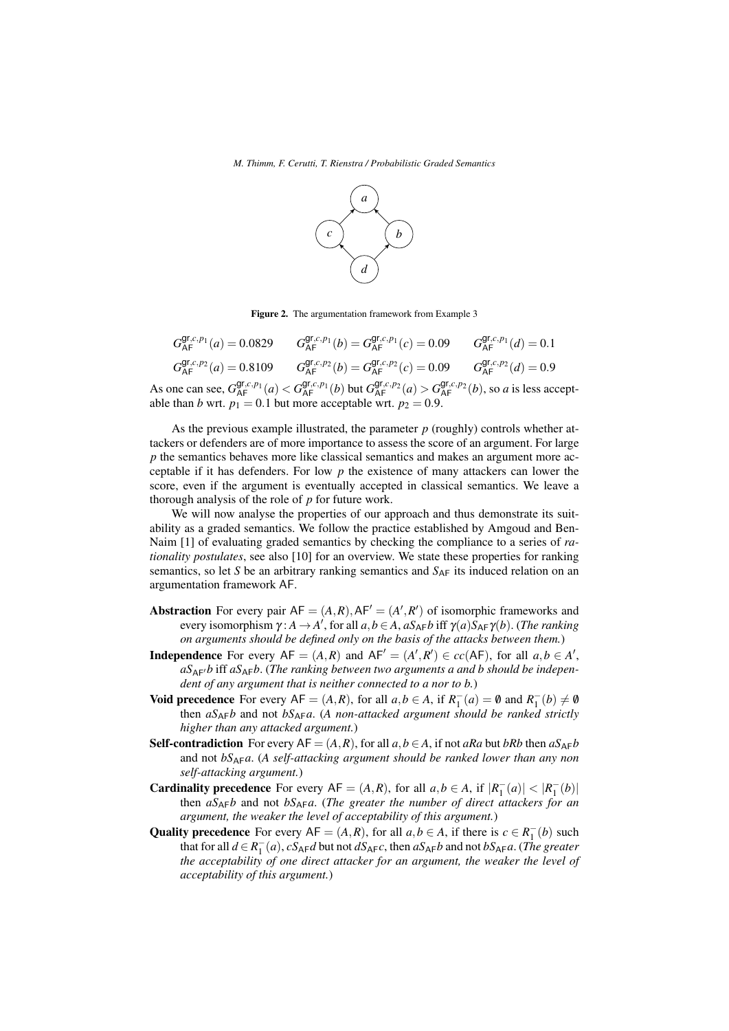

Figure 2. The argumentation framework from Example 3

| $G_{\Delta E}^{\text{gr},c,p_1}(a) = 0.0829$ | $G_{\Delta E}^{\text{gr},c,p_1}(b) = G_{\Delta E}^{\text{gr},c,p_1}(c) = 0.09$                                                                                          | $G_{\Delta E}^{\text{gr},c,p_1}(d) = 0.1$ |
|----------------------------------------------|-------------------------------------------------------------------------------------------------------------------------------------------------------------------------|-------------------------------------------|
| $G_{\Delta E}^{\text{gr},c,p_2}(a) = 0.8109$ | $G_{\Delta E}^{\text{gr},c,p_2}(b) = G_{\Delta E}^{\text{gr},c,p_2}(c) = 0.09$ $G_{\Delta E}^{\text{gr},c,p_2}(d) = 0.9$                                                |                                           |
|                                              | one can see, $G_{AF}^{\mathsf{gr},c,p_1}(a) < G_{AF}^{\mathsf{gr},c,p_1}(b)$ but $G_{AF}^{\mathsf{gr},c,p_2}(a) > G_{AF}^{\mathsf{gr},c,p_2}(b)$ , so a is less accept- |                                           |

As one can see,  $G_{\mathsf{A}\mathsf{F}}^{\mathsf{gl},c,p_1}(a) < G_{\mathsf{A}\mathsf{F}}^{\mathsf{gl},c,p_1}(b)$  but  $G_{\mathsf{A}\mathsf{F}}^{\mathsf{gl},c,p_2}(a) > G$ able than *b* wrt.  $p_1 = 0.1$  but more acceptable wrt.  $p_2 = 0.9$ .

As the previous example illustrated, the parameter *p* (roughly) controls whether attackers or defenders are of more importance to assess the score of an argument. For large *p* the semantics behaves more like classical semantics and makes an argument more acceptable if it has defenders. For low *p* the existence of many attackers can lower the score, even if the argument is eventually accepted in classical semantics. We leave a thorough analysis of the role of *p* for future work.

We will now analyse the properties of our approach and thus demonstrate its suitability as a graded semantics. We follow the practice established by Amgoud and Ben-Naim [1] of evaluating graded semantics by checking the compliance to a series of *rationality postulates*, see also [10] for an overview. We state these properties for ranking semantics, so let *S* be an arbitrary ranking semantics and  $S_{AF}$  its induced relation on an argumentation framework AF.

- **Abstraction** For every pair  $AF = (A, R), AF' = (A', R')$  of isomorphic frameworks and every isomorphism  $\gamma: A \to A'$ , for all  $a, b \in A$ ,  $aS_{AF}b$  iff  $\gamma(a)S_{AF}\gamma(b)$ . (*The ranking on arguments should be defined only on the basis of the attacks between them.*)
- **Independence** For every  $AF = (A, R)$  and  $AF' = (A', R') \in cc(AF)$ , for all  $a, b \in A'$ ,  $aS_{\Delta F}$ *b* iff  $aS_{\Delta F}$ *b*. (*The ranking between two arguments a and b should be independent of any argument that is neither connected to a nor to b.*)
- **Void precedence** For every  $AF = (A, R)$ , for all  $a, b \in A$ , if  $R_1^-(a) = \emptyset$  and  $R_1^-(b) \neq \emptyset$ then *aS*AF*b* and not *bS*AF*a*. (*A non-attacked argument should be ranked strictly higher than any attacked argument.*)
- **Self-contradiction** For every  $AF = (A, R)$ , for all  $a, b \in A$ , if not  $aRa$  but  $bRb$  then  $aS_{AF}b$ and not *bS*AF*a*. (*A self-attacking argument should be ranked lower than any non self-attacking argument.*)
- **Cardinality precedence** For every  $AF = (A, R)$ , for all  $a, b \in A$ , if  $|R_1^-(a)| < |R_1^-(b)|$ then  $aS_{AF}b$  and not  $bS_{AF}a$ . (*The greater the number of direct attackers for an argument, the weaker the level of acceptability of this argument.*)
- Quality precedence For every  $AF = (A, R)$ , for all  $a, b \in A$ , if there is  $c \in R_1^-(b)$  such that for all  $d \in R_1^-(a)$ ,  $cS_{AF}d$  but not  $dS_{AF}c$ , then  $aS_{AF}b$  and not  $bS_{AF}a$ . (*The greater the acceptability of one direct attacker for an argument, the weaker the level of acceptability of this argument.*)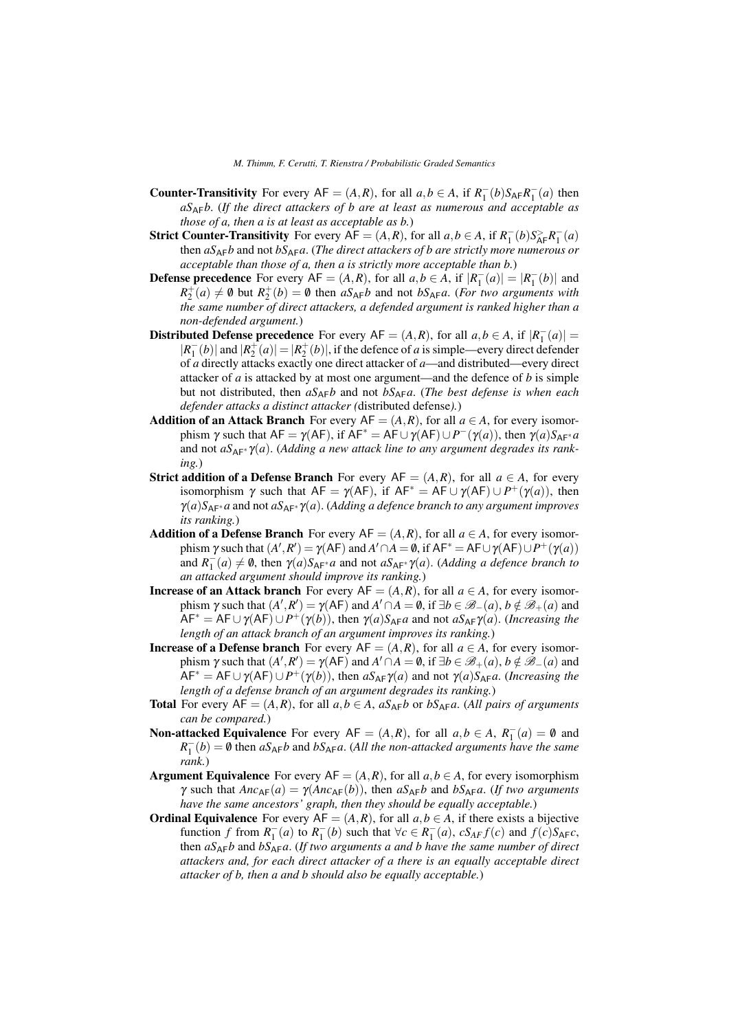- **Counter-Transitivity** For every  $AF = (A, R)$ , for all  $a, b \in A$ , if  $R_1^-(b)S_{AF}R_1^-(a)$  then *aS*AF*b*. (*If the direct attackers of b are at least as numerous and acceptable as those of a, then a is at least as acceptable as b.*)
- Strict Counter-Transitivity For every  $AF = (A, R)$ , for all  $a, b \in A$ , if  $R_1^-(b)S_{AF}^>R_1^-(a)$ then  $aS_{AF}b$  and not  $bS_{AF}a$ . (*The direct attackers of b are strictly more numerous or acceptable than those of a, then a is strictly more acceptable than b.*)
- **Defense precedence** For every  $AF = (A, R)$ , for all  $a, b \in A$ , if  $|R_1^-(a)| = |R_1^-(b)|$  and  $R_2^+(a) \neq \emptyset$  but  $R_2^+(b) = \emptyset$  then  $aS_{AF}b$  and not  $bS_{AF}a$ . (*For two arguments with the same number of direct attackers, a defended argument is ranked higher than a non-defended argument.*)
- Distributed Defense precedence For every  $AF = (A, R)$ , for all  $a, b \in A$ , if  $|R_1^-(a)| =$  $|R_1^-(b)|$  and  $|R_2^+(a)| = |R_2^+(b)|$ , if the defence of *a* is simple—every direct defender of *a* directly attacks exactly one direct attacker of *a*—and distributed—every direct attacker of *a* is attacked by at most one argument—and the defence of *b* is simple but not distributed, then *aS*AF*b* and not *bS*AF*a*. (*The best defense is when each defender attacks a distinct attacker (*distributed defense*).*)
- Addition of an Attack Branch For every  $AF = (A, R)$ , for all  $a \in A$ , for every isomorphism  $\gamma$  such that  $AF = \gamma (AF)$ , if  $AF^* = AF \cup \gamma (AF) \cup P^-(\gamma (a))$ , then  $\gamma (a)S_{AF^*}a$ and not  $aS_{AF^*}\gamma(a)$ . (*Adding a new attack line to any argument degrades its ranking.*)
- **Strict addition of a Defense Branch** For every  $AF = (A, R)$ , for all  $a \in A$ , for every isomorphism  $\gamma$  such that  $AF = \gamma (AF)$ , if  $AF^* = AF \cup \gamma (AF) \cup P^+(\gamma (a))$ , then  $\gamma(a)S_{AF^*}a$  and not  $aS_{AF^*}\gamma(a)$ . (*Adding a defence branch to any argument improves its ranking.*)
- Addition of a Defense Branch For every  $AF = (A, R)$ , for all  $a \in A$ , for every isomorphism  $\gamma$  such that  $(A', R') = \gamma (AF)$  and  $A' \cap A = \emptyset$ , if  $AF^* = AF \cup \gamma (AF) \cup P^+(\gamma(a))$ and  $R_1^-(a) \neq \emptyset$ , then  $\gamma(a)S_{AF^*}a$  and not  $aS_{AF^*}\gamma(a)$ . (*Adding a defence branch to an attacked argument should improve its ranking.*)
- **Increase of an Attack branch** For every  $AF = (A, R)$ , for all  $a \in A$ , for every isomorphism  $\gamma$  such that  $(A', R') = \gamma (AF)$  and  $A' \cap A = \emptyset$ , if  $\exists b \in \mathcal{B}-(a), b \notin \mathcal{B}+(a)$  and  $\widehat{AF}^* = AF \cup \gamma (AF) \cup P^+(\gamma(b))$ , then  $\gamma(a)S_{AF}a$  and not  $aS_{AF}\gamma(a)$ . (*Increasing the length of an attack branch of an argument improves its ranking.*)
- **Increase of a Defense branch** For every AF =  $(A, R)$ , for all  $a \in A$ , for every isomorphism  $\gamma$  such that  $(A', R') = \gamma (AF)$  and  $A' \cap A = \emptyset$ , if  $\exists b \in \mathcal{B}_+(a), b \notin \mathcal{B}_-(a)$  and  $\widehat{AF}^* = AF \cup \gamma (AF) \cup P^+(\gamma(b))$ , then  $aS_{AF}\gamma(a)$  and not  $\gamma(a)S_{AF}a$ . (*Increasing the length of a defense branch of an argument degrades its ranking.*)
- **Total** For every  $AF = (A, R)$ , for all  $a, b \in A$ ,  $aS_{AF}b$  or  $bS_{AF}a$ . (*All pairs of arguments can be compared.*)
- **Non-attacked Equivalence** For every  $AF = (A, R)$ , for all  $a, b \in A$ ,  $R_1^-(a) = \emptyset$  and  $R_1^-(b) = \emptyset$  then  $aS_{AF}b$  and  $bS_{AF}a$ . (*All the non-attacked arguments have the same rank.*)
- **Argument Equivalence** For every  $AF = (A, R)$ , for all  $a, b \in A$ , for every isomorphism *γ* such that  $\nexists n c_{AF}(a) = γ(An c_{AF}(b))$ , then  $aS_{AF}b$  and  $bS_{AF}a$ . (*If two arguments have the same ancestors' graph, then they should be equally acceptable.*)
- **Ordinal Equivalence** For every  $AF = (A, R)$ , for all  $a, b \in A$ , if there exists a bijective function *f* from  $R_1^-(a)$  to  $R_1^-(b)$  such that  $\forall c \in R_1^-(a)$ ,  $cS_{AF}f(c)$  and  $f(c)S_{AF}c$ , then *aS*AF*b* and *bS*AF*a*. (*If two arguments a and b have the same number of direct attackers and, for each direct attacker of a there is an equally acceptable direct attacker of b, then a and b should also be equally acceptable.*)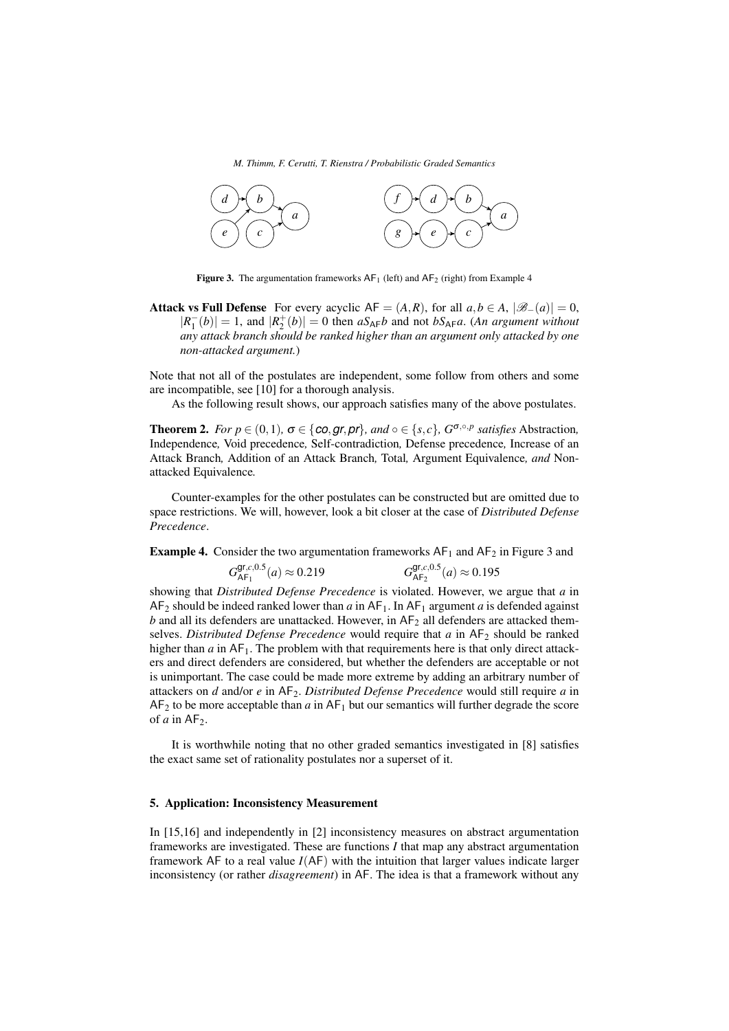*M. Thimm, F. Cerutti, T. Rienstra / Probabilistic Graded Semantics*



**Figure 3.** The argumentation frameworks  $AF_1$  (left) and  $AF_2$  (right) from Example 4

Attack vs Full Defense For every acyclic  $AF = (A, R)$ , for all  $a, b \in A$ ,  $|\mathscr{B}_{-}(a)| = 0$ ,  $|R_1^-(b)| = 1$ , and  $|R_2^+(b)| = 0$  then  $aS_{AF}b$  and not  $bS_{AF}a$ . (*An argument without any attack branch should be ranked higher than an argument only attacked by one non-attacked argument.*)

Note that not all of the postulates are independent, some follow from others and some are incompatible, see [10] for a thorough analysis.

As the following result shows, our approach satisfies many of the above postulates.

**Theorem 2.** *For*  $p \in (0,1)$ *,*  $\sigma \in \{ \text{co}, \text{gr}, \text{pr} \}$ *, and*  $\circ \in \{ s, c \}$ *,*  $G^{\sigma, \circ, p}$  *satisfies* Abstraction, Independence*,* Void precedence*,* Self-contradiction*,* Defense precedence*,* Increase of an Attack Branch*,* Addition of an Attack Branch*,* Total*,* Argument Equivalence*, and* Nonattacked Equivalence*.*

Counter-examples for the other postulates can be constructed but are omitted due to space restrictions. We will, however, look a bit closer at the case of *Distributed Defense Precedence*.

**Example 4.** Consider the two argumentation frameworks  $AF_1$  and  $AF_2$  in Figure 3 and

$$
G_{\mathsf{AF}_1}^{\mathsf{gr},c,0.5}(a) \approx 0.219 \qquad \qquad G_{\mathsf{AF}_2}^{\mathsf{gr},c,0.5}(a) \approx 0.195
$$

showing that *Distributed Defense Precedence* is violated. However, we argue that *a* in  $AF_2$  should be indeed ranked lower than *a* in  $AF_1$ . In  $AF_1$  argument *a* is defended against  $b$  and all its defenders are unattacked. However, in  $AF<sub>2</sub>$  all defenders are attacked themselves. *Distributed Defense Precedence* would require that *a* in AF<sub>2</sub> should be ranked higher than  $a$  in  $AF_1$ . The problem with that requirements here is that only direct attackers and direct defenders are considered, but whether the defenders are acceptable or not is unimportant. The case could be made more extreme by adding an arbitrary number of attackers on *d* and/or *e* in AF2. *Distributed Defense Precedence* would still require *a* in  $AF<sub>2</sub>$  to be more acceptable than *a* in  $AF<sub>1</sub>$  but our semantics will further degrade the score of  $a$  in  $AF_2$ .

It is worthwhile noting that no other graded semantics investigated in [8] satisfies the exact same set of rationality postulates nor a superset of it.

# 5. Application: Inconsistency Measurement

In [15,16] and independently in [2] inconsistency measures on abstract argumentation frameworks are investigated. These are functions *I* that map any abstract argumentation framework AF to a real value *I*(AF) with the intuition that larger values indicate larger inconsistency (or rather *disagreement*) in AF. The idea is that a framework without any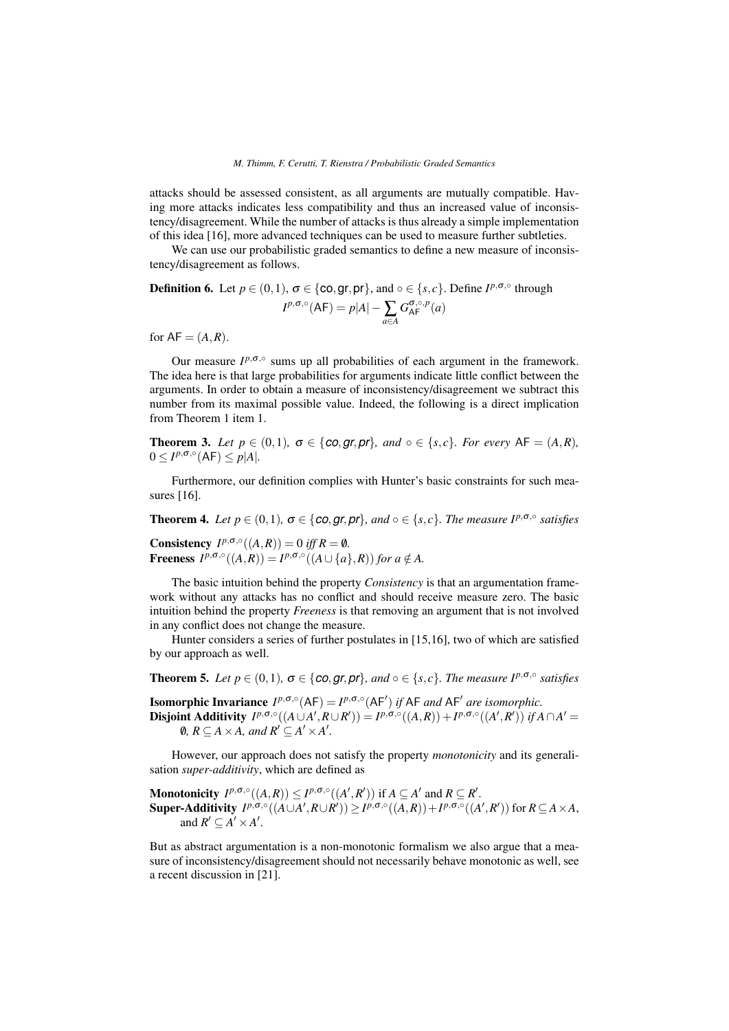attacks should be assessed consistent, as all arguments are mutually compatible. Having more attacks indicates less compatibility and thus an increased value of inconsistency/disagreement. While the number of attacks is thus already a simple implementation of this idea [16], more advanced techniques can be used to measure further subtleties.

We can use our probabilistic graded semantics to define a new measure of inconsistency/disagreement as follows.

**Definition 6.** Let  $p \in (0,1)$ ,  $\sigma \in \{\text{co}, \text{gr}, \text{pr}\}\$ , and  $\circ \in \{s, c\}$ . Define  $I^{p, \sigma, \circ}$  through  $I^{p, \sigma, \circ}(AF) = p|A| - \sum_{a \in A}$  $G^{\sigma,\circ,p}_\mathsf{AF}(a)$ 

for  $AF = (A, R)$ .

Our measure  $I^{p, \sigma, \circ}$  sums up all probabilities of each argument in the framework. The idea here is that large probabilities for arguments indicate little conflict between the arguments. In order to obtain a measure of inconsistency/disagreement we subtract this number from its maximal possible value. Indeed, the following is a direct implication from Theorem 1 item 1.

**Theorem 3.** Let  $p \in (0,1)$ ,  $\sigma \in \{ \text{co}, \text{gr}, \text{pr} \}$ , and  $\circ \in \{ s, c \}$ . For every AF =  $(A, R)$ ,  $0 \leq I^{p, \sigma, \circ}(AF) \leq p|A|.$ 

Furthermore, our definition complies with Hunter's basic constraints for such measures [16].

**Theorem 4.** *Let*  $p \in (0,1)$ ,  $\sigma \in \{\text{co},\text{gr},\text{pr}\}\$ , and  $\circ \in \{s,c\}$ . *The measure*  $I^{p,\sigma,\circ}$  *satisfies* 

**Consistency**  $I^{p, \sigma, \circ}((A, R)) = 0$  *iff*  $R = \emptyset$ *.* **Freeness**  $I^{p,\sigma,\circ}((A,R)) = I^{p,\sigma,\circ}((A \cup \{a\},R))$  for  $a \notin A$ .

The basic intuition behind the property *Consistency* is that an argumentation framework without any attacks has no conflict and should receive measure zero. The basic intuition behind the property *Freeness* is that removing an argument that is not involved in any conflict does not change the measure.

Hunter considers a series of further postulates in [15,16], two of which are satisfied by our approach as well.

**Theorem 5.** Let  $p \in (0,1)$ ,  $\sigma \in \{\text{co},\text{gr},\text{pr}\}\$ , and  $\circ \in \{s,c\}$ . The measure  $I^{p,\sigma,\circ}$  satisfies

**Isomorphic Invariance**  $I^{p, \sigma, \circ}(AF) = I^{p, \sigma, \circ}(AF')$  *if* AF *and* AF' *are isomorphic.* **Disjoint Additivity**  $I^{p,\sigma,\circ}((A \cup A', R \cup R')) = I^{p,\sigma,\circ}((A, R)) + I^{p,\sigma,\circ}((A', R'))$  if  $A \cap A' =$ 0,  $R \subseteq A \times A$ , and  $R' \subseteq A' \times A'$ .

However, our approach does not satisfy the property *monotonicity* and its generalisation *super-additivity*, which are defined as

**Monotonicity**  $I^{p,\sigma,\circ}((A,R)) \leq I^{p,\sigma,\circ}((A',R'))$  if  $A \subseteq A'$  and  $R \subseteq R'$ .  $\textbf{Super-Additivity } I^{p, \sigma, \circ}((A \cup A', R \cup R')) \geq I^{p, \sigma, \circ}((A, R)) + I^{p, \sigma, \circ}((A', R')) \text{ for } R \subseteq A \times A,$ and  $R' \subseteq A' \times A'$ .

But as abstract argumentation is a non-monotonic formalism we also argue that a measure of inconsistency/disagreement should not necessarily behave monotonic as well, see a recent discussion in [21].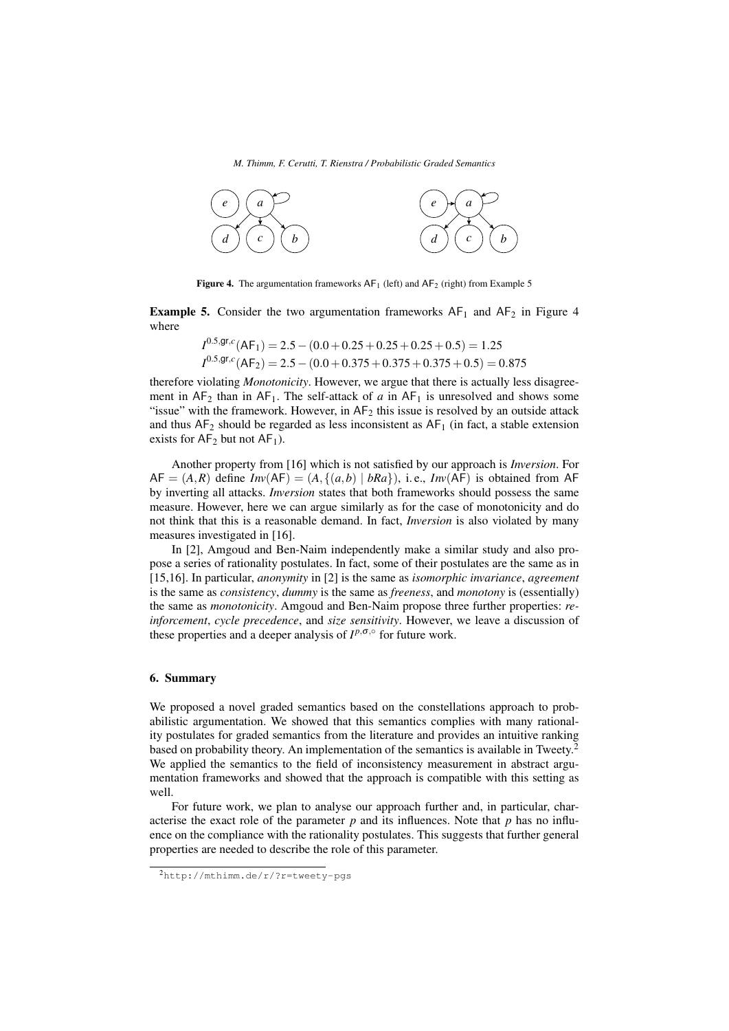

Figure 4. The argumentation frameworks  $AF_1$  (left) and  $AF_2$  (right) from Example 5

**Example 5.** Consider the two argumentation frameworks  $AF_1$  and  $AF_2$  in Figure 4 where

$$
I^{0.5,\text{gr},c}(\text{AF}_1) = 2.5 - (0.0 + 0.25 + 0.25 + 0.25 + 0.5) = 1.25
$$
  

$$
I^{0.5,\text{gr},c}(\text{AF}_2) = 2.5 - (0.0 + 0.375 + 0.375 + 0.375 + 0.5) = 0.875
$$

therefore violating *Monotonicity*. However, we argue that there is actually less disagreement in  $AF_2$  than in  $AF_1$ . The self-attack of *a* in  $AF_1$  is unresolved and shows some "issue" with the framework. However, in  $AF_2$  this issue is resolved by an outside attack and thus  $AF_2$  should be regarded as less inconsistent as  $AF_1$  (in fact, a stable extension exists for  $AF_2$  but not  $AF_1$ ).

Another property from [16] which is not satisfied by our approach is *Inversion*. For  $AF = (A, R)$  define  $Inv(AF) = (A, \{(a, b) | bRa\})$ , i.e.,  $Inv(AF)$  is obtained from AF by inverting all attacks. *Inversion* states that both frameworks should possess the same measure. However, here we can argue similarly as for the case of monotonicity and do not think that this is a reasonable demand. In fact, *Inversion* is also violated by many measures investigated in [16].

In [2], Amgoud and Ben-Naim independently make a similar study and also propose a series of rationality postulates. In fact, some of their postulates are the same as in [15,16]. In particular, *anonymity* in [2] is the same as *isomorphic invariance*, *agreement* is the same as *consistency*, *dummy* is the same as *freeness*, and *monotony* is (essentially) the same as *monotonicity*. Amgoud and Ben-Naim propose three further properties: *reinforcement*, *cycle precedence*, and *size sensitivity*. However, we leave a discussion of these properties and a deeper analysis of  $I^{p, \sigma, \circ}$  for future work.

# 6. Summary

We proposed a novel graded semantics based on the constellations approach to probabilistic argumentation. We showed that this semantics complies with many rationality postulates for graded semantics from the literature and provides an intuitive ranking based on probability theory. An implementation of the semantics is available in Tweety.<sup>2</sup> We applied the semantics to the field of inconsistency measurement in abstract argumentation frameworks and showed that the approach is compatible with this setting as well.

For future work, we plan to analyse our approach further and, in particular, characterise the exact role of the parameter  $p$  and its influences. Note that  $p$  has no influence on the compliance with the rationality postulates. This suggests that further general properties are needed to describe the role of this parameter.

<sup>2</sup>http://mthimm.de/r/?r=tweety-pgs